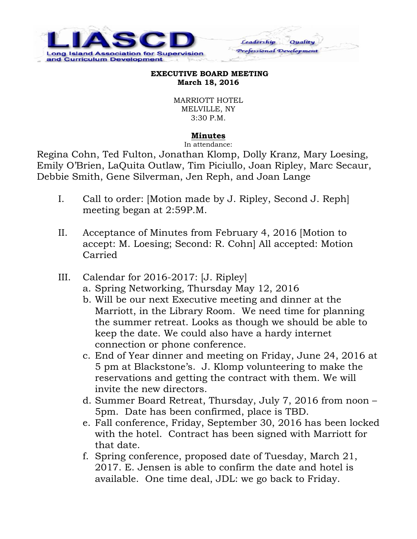

## **EXECUTIVE BOARD MEETING March 18, 2016**

Leadership

Professional Development

Quality

MARRIOTT HOTEL MELVILLE, NY 3:30 P.M.

## **Minutes**

In attendance:

Regina Cohn, Ted Fulton, Jonathan Klomp, Dolly Kranz, Mary Loesing, Emily O'Brien, LaQuita Outlaw, Tim Piciullo, Joan Ripley, Marc Secaur, Debbie Smith, Gene Silverman, Jen Reph, and Joan Lange

- I. Call to order: [Motion made by J. Ripley, Second J. Reph] meeting began at 2:59P.M.
- II. Acceptance of Minutes from February 4, 2016 [Motion to accept: M. Loesing; Second: R. Cohn] All accepted: Motion Carried
- III. Calendar for 2016-2017: [J. Ripley]
	- a. Spring Networking, Thursday May 12, 2016
	- b. Will be our next Executive meeting and dinner at the Marriott, in the Library Room. We need time for planning the summer retreat. Looks as though we should be able to keep the date. We could also have a hardy internet connection or phone conference.
	- c. End of Year dinner and meeting on Friday, June 24, 2016 at 5 pm at Blackstone's. J. Klomp volunteering to make the reservations and getting the contract with them. We will invite the new directors.
	- d. Summer Board Retreat, Thursday, July 7, 2016 from noon 5pm. Date has been confirmed, place is TBD.
	- e. Fall conference, Friday, September 30, 2016 has been locked with the hotel. Contract has been signed with Marriott for that date.
	- f. Spring conference, proposed date of Tuesday, March 21, 2017. E. Jensen is able to confirm the date and hotel is available. One time deal, JDL: we go back to Friday.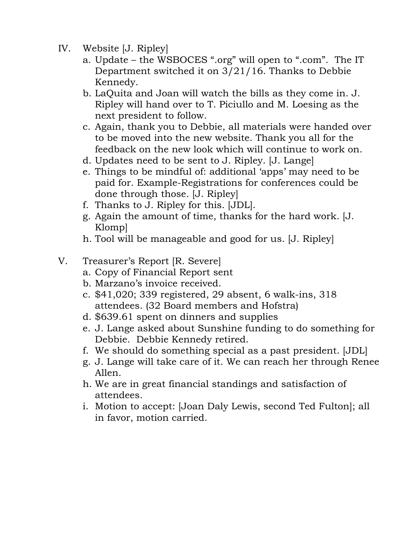- IV. Website [J. Ripley]
	- a. Update the WSBOCES ".org" will open to ".com". The IT Department switched it on 3/21/16. Thanks to Debbie Kennedy.
	- b. LaQuita and Joan will watch the bills as they come in. J. Ripley will hand over to T. Piciullo and M. Loesing as the next president to follow.
	- c. Again, thank you to Debbie, all materials were handed over to be moved into the new website. Thank you all for the feedback on the new look which will continue to work on.
	- d. Updates need to be sent to J. Ripley. [J. Lange]
	- e. Things to be mindful of: additional 'apps' may need to be paid for. Example-Registrations for conferences could be done through those. [J. Ripley]
	- f. Thanks to J. Ripley for this. [JDL].
	- g. Again the amount of time, thanks for the hard work. [J. Klomp]
	- h. Tool will be manageable and good for us. [J. Ripley]

## V. Treasurer's Report [R. Severe]

- a. Copy of Financial Report sent
- b. Marzano's invoice received.
- c. \$41,020; 339 registered, 29 absent, 6 walk-ins, 318 attendees. (32 Board members and Hofstra)
- d. \$639.61 spent on dinners and supplies
- e. J. Lange asked about Sunshine funding to do something for Debbie. Debbie Kennedy retired.
- f. We should do something special as a past president. [JDL]
- g. J. Lange will take care of it. We can reach her through Renee Allen.
- h. We are in great financial standings and satisfaction of attendees.
- i. Motion to accept: [Joan Daly Lewis, second Ted Fulton]; all in favor, motion carried.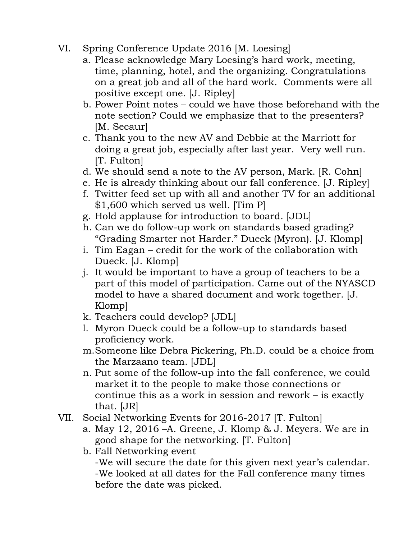- VI. Spring Conference Update 2016 [M. Loesing]
	- a. Please acknowledge Mary Loesing's hard work, meeting, time, planning, hotel, and the organizing. Congratulations on a great job and all of the hard work. Comments were all positive except one. [J. Ripley]
	- b. Power Point notes could we have those beforehand with the note section? Could we emphasize that to the presenters? [M. Secaur]
	- c. Thank you to the new AV and Debbie at the Marriott for doing a great job, especially after last year. Very well run. [T. Fulton]
	- d. We should send a note to the AV person, Mark. [R. Cohn]
	- e. He is already thinking about our fall conference. [J. Ripley]
	- f. Twitter feed set up with all and another TV for an additional \$1,600 which served us well. [Tim P]
	- g. Hold applause for introduction to board. [JDL]
	- h. Can we do follow-up work on standards based grading? "Grading Smarter not Harder." Dueck (Myron). [J. Klomp]
	- i. Tim Eagan credit for the work of the collaboration with Dueck. [J. Klomp]
	- j. It would be important to have a group of teachers to be a part of this model of participation. Came out of the NYASCD model to have a shared document and work together. [J. Klomp]
	- k. Teachers could develop? [JDL]
	- l. Myron Dueck could be a follow-up to standards based proficiency work.
	- m.Someone like Debra Pickering, Ph.D. could be a choice from the Marzaano team. [JDL]
	- n. Put some of the follow-up into the fall conference, we could market it to the people to make those connections or continue this as a work in session and rework – is exactly that. [JR]
- VII. Social Networking Events for 2016-2017 [T. Fulton]
	- a. May 12, 2016 –A. Greene, J. Klomp & J. Meyers. We are in good shape for the networking. [T. Fulton]
	- b. Fall Networking event

-We will secure the date for this given next year's calendar. -We looked at all dates for the Fall conference many times before the date was picked.